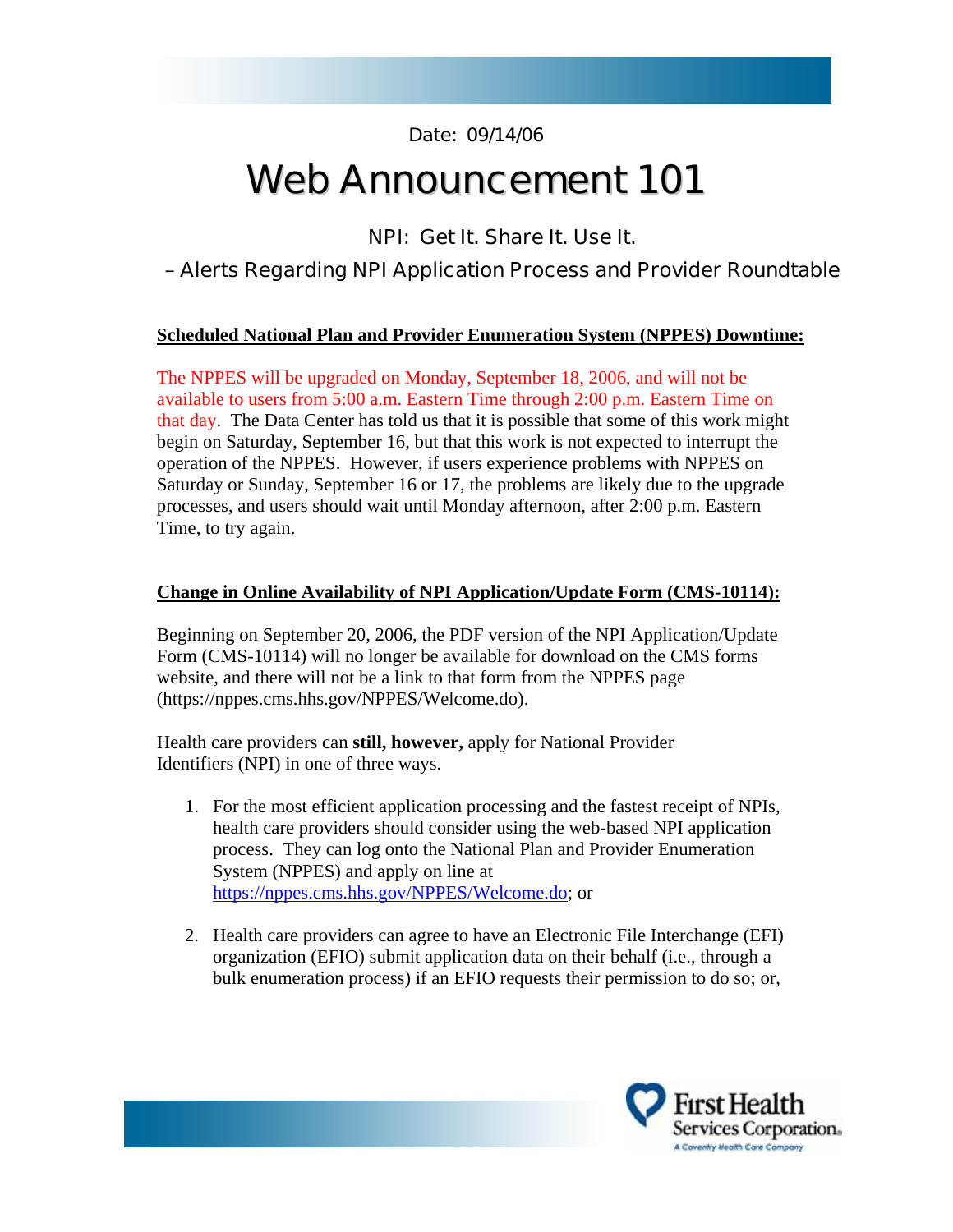**Date: 09/14/06** 

# **Web Announcement 101**

**NPI: Get It. Share It. Use It.** 

## **– Alerts Regarding NPI Application Process and Provider Roundtable**

#### **Scheduled National Plan and Provider Enumeration System (NPPES) Downtime:**

The NPPES will be upgraded on Monday, September 18, 2006, and will not be available to users from 5:00 a.m. Eastern Time through 2:00 p.m. Eastern Time on that day. The Data Center has told us that it is possible that some of this work might begin on Saturday, September 16, but that this work is not expected to interrupt the operation of the NPPES. However, if users experience problems with NPPES on Saturday or Sunday, September 16 or 17, the problems are likely due to the upgrade processes, and users should wait until Monday afternoon, after 2:00 p.m. Eastern Time, to try again.

#### **Change in Online Availability of NPI Application/Update Form (CMS-10114):**

Beginning on September 20, 2006, the PDF version of the NPI Application/Update Form (CMS-10114) will no longer be available for download on the CMS forms website, and there will not be a link to that form from the NPPES page (https://nppes.cms.hhs.gov/NPPES/Welcome.do).

Health care providers can **still, however,** apply for National Provider Identifiers (NPI) in one of three ways.

- 1. For the most efficient application processing and the fastest receipt of NPIs, health care providers should consider using the web-based NPI application process. They can log onto the National Plan and Provider Enumeration System (NPPES) and apply on line at https://nppes.cms.hhs.gov/NPPES/Welcome.do; or
- 2. Health care providers can agree to have an Electronic File Interchange (EFI) organization (EFIO) submit application data on their behalf (i.e., through a bulk enumeration process) if an EFIO requests their permission to do so; or,